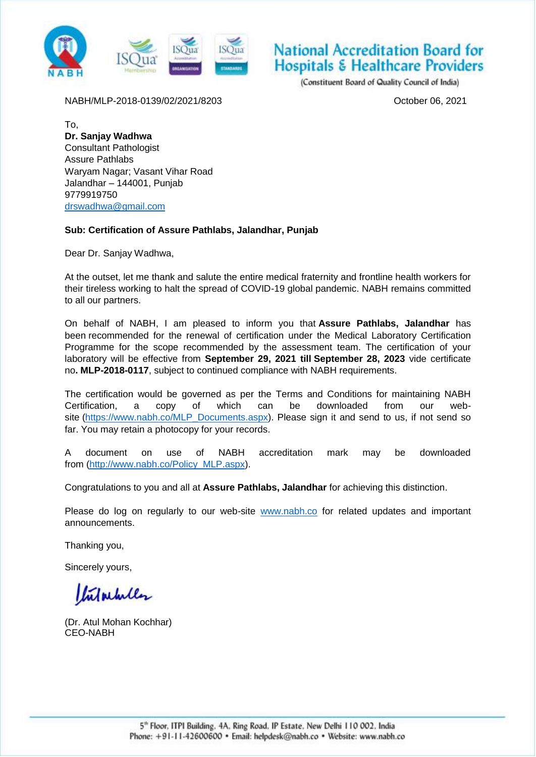

## National Accreditation Board for **Hospitals & Healthcare Providers**

(Constituent Board of Quality Council of India)

NABH/MLP-2018-0139/02/2021/8203 October 06, 2021

To, **Dr. Sanjay Wadhwa** Consultant Pathologist Assure Pathlabs Waryam Nagar; Vasant Vihar Road Jalandhar – 144001, Punjab 9779919750 [drswadhwa@gmail.com](mailto:drswadhwa@gmail.com)

## **Sub: Certification of Assure Pathlabs, Jalandhar, Punjab**

Dear Dr. Sanjay Wadhwa,

At the outset, let me thank and salute the entire medical fraternity and frontline health workers for their tireless working to halt the spread of COVID-19 global pandemic. NABH remains committed to all our partners.

On behalf of NABH, I am pleased to inform you that **Assure Pathlabs, Jalandhar** has been recommended for the renewal of certification under the Medical Laboratory Certification Programme for the scope recommended by the assessment team. The certification of your laboratory will be effective from **September 29, 2021 till September 28, 2023** vide certificate no**. MLP-2018-0117**, subject to continued compliance with NABH requirements.

The certification would be governed as per the Terms and Conditions for maintaining NABH Certification, a copy of which can be downloaded from our website [\(https://www.nabh.co/MLP\\_Documents.aspx\)](https://www.nabh.co/MLP_Documents.aspx). Please sign it and send to us, if not send so far. You may retain a photocopy for your records.

A document on use of NABH accreditation mark may be downloaded from [\(http://www.nabh.co/Policy\\_MLP.aspx\)](http://www.nabh.co/Policy_MLP.aspx).

Congratulations to you and all at **Assure Pathlabs, Jalandhar** for achieving this distinction.

Please do log on regularly to our web-site [www.nabh.co](http://www.nabh.co/) for related updates and important announcements.

Thanking you,

Sincerely yours,

Infactully

(Dr. Atul Mohan Kochhar) CEO-NABH